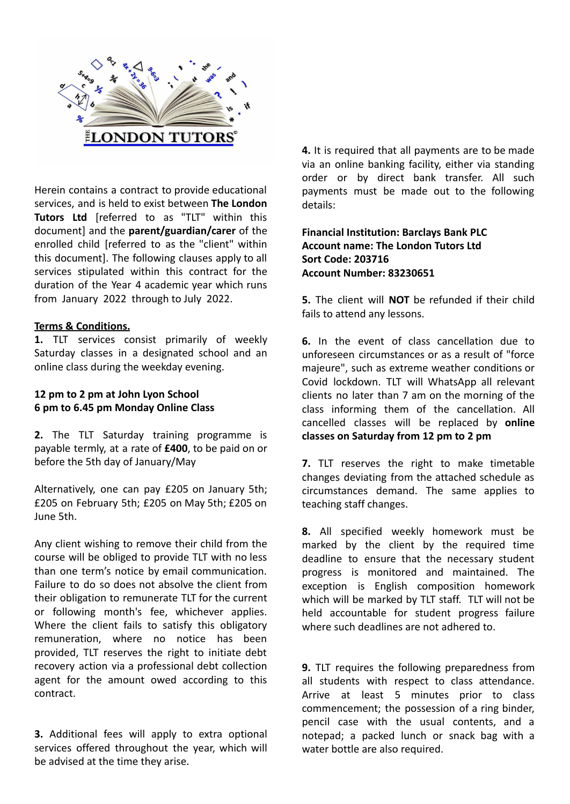

Herein contains a contract to provide educational services, and is held to exist between **The London Tutors Ltd** [referred to as "TLT" within this document] and the **parent/guardian/carer** of the enrolled child [referred to as the "client" within this document]. The following clauses apply to all services stipulated within this contract for the duration of the Year 4 academic year which runs from January 2022 through to July 2022.

## **Terms & Conditions.**

**1.** TLT services consist primarily of weekly Saturday classes in a designated school and an online class during the weekday evening.

## **12 pm to 2 pm at John Lyon School 6 pm to 6.45 pm Monday Online Class**

**2.** The TLT Saturday training programme is payable termly, at a rate of **£400**, to be paid on or before the 5th day of January/May

Alternatively, one can pay £205 on January 5th; £205 on February 5th; £205 on May 5th; £205 on June 5th.

Any client wishing to remove their child from the course will be obliged to provide TLT with no less than one term's notice by email communication. Failure to do so does not absolve the client from their obligation to remunerate TLT for the current or following month's fee, whichever applies. Where the client fails to satisfy this obligatory remuneration, where no notice has been provided, TLT reserves the right to initiate debt recovery action via a professional debt collection agent for the amount owed according to this contract.

**3.** Additional fees will apply to extra optional services offered throughout the year, which will be advised at the time they arise.

**4.** It is required that all payments are to be made via an online banking facility, either via standing order or by direct bank transfer. All such payments must be made out to the following details:

**Financial Institution: Barclays Bank PLC Account name: The London Tutors Ltd Sort Code: 203716 Account Number: 83230651**

**5.** The client will **NOT** be refunded if their child fails to attend any lessons.

**6.** In the event of class cancellation due to unforeseen circumstances or as a result of "force majeure", such as extreme weather conditions or Covid lockdown. TLT will WhatsApp all relevant clients no later than 7 am on the morning of the class informing them of the cancellation. All cancelled classes will be replaced by **online classes on Saturday from 12 pm to 2 pm**

**7.** TLT reserves the right to make timetable changes deviating from the attached schedule as circumstances demand. The same applies to teaching staff changes.

**8.** All specified weekly homework must be marked by the client by the required time deadline to ensure that the necessary student progress is monitored and maintained. The exception is English composition homework which will be marked by TLT staff. TLT will not be held accountable for student progress failure where such deadlines are not adhered to.

**9.** TLT requires the following preparedness from all students with respect to class attendance. Arrive at least 5 minutes prior to class commencement; the possession of a ring binder, pencil case with the usual contents, and a notepad; a packed lunch or snack bag with a water bottle are also required.